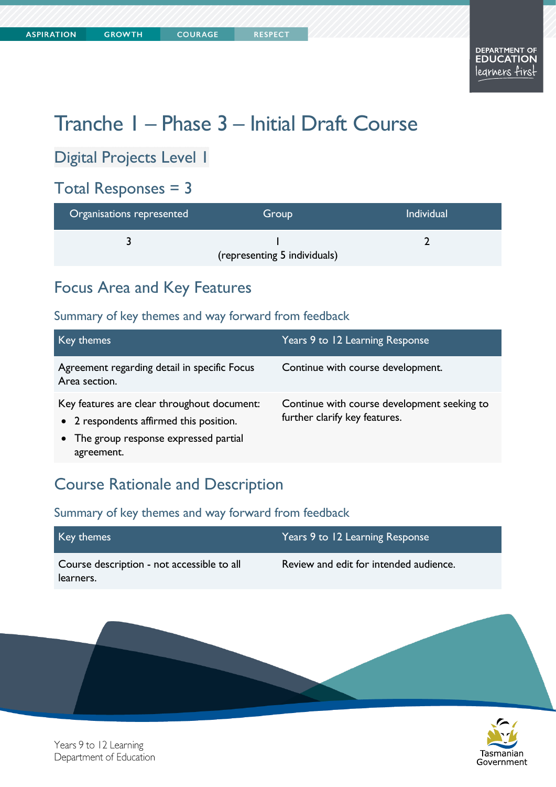# Tranche 1 – Phase 3 – Initial Draft Course

Digital Projects Level 1

### Total Responses = 3

| Organisations represented | Group                        | <b>Individual</b> |
|---------------------------|------------------------------|-------------------|
|                           |                              |                   |
|                           | (representing 5 individuals) |                   |

### Focus Area and Key Features

#### Summary of key themes and way forward from feedback

| Key themes                                                                                                                                     | Years 9 to 12 Learning Response                                              |
|------------------------------------------------------------------------------------------------------------------------------------------------|------------------------------------------------------------------------------|
| Agreement regarding detail in specific Focus<br>Area section.                                                                                  | Continue with course development.                                            |
| Key features are clear throughout document:<br>• 2 respondents affirmed this position.<br>• The group response expressed partial<br>agreement. | Continue with course development seeking to<br>further clarify key features. |

#### Course Rationale and Description

| Key themes                                              | Years 9 to 12 Learning Response        |
|---------------------------------------------------------|----------------------------------------|
| Course description - not accessible to all<br>learners. | Review and edit for intended audience. |

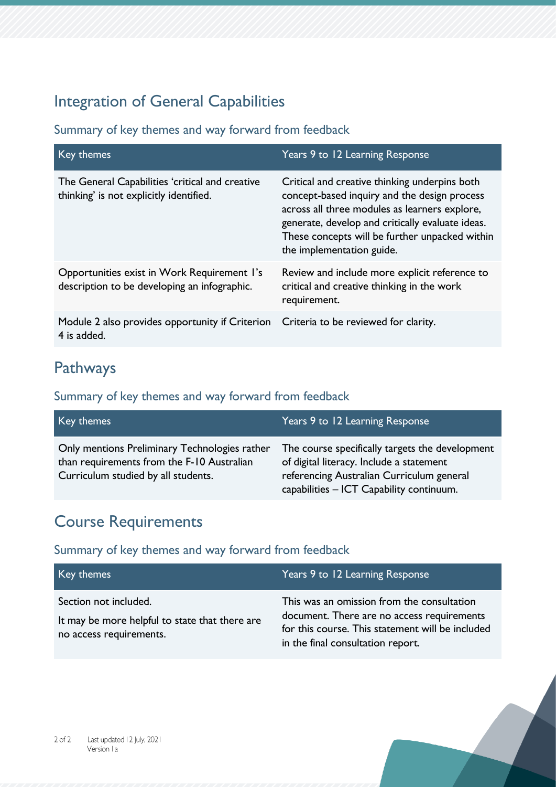# Integration of General Capabilities

Summary of key themes and way forward from feedback

| Key themes                                                                                  | Years 9 to 12 Learning Response                                                                                                                                                                                                                                                   |
|---------------------------------------------------------------------------------------------|-----------------------------------------------------------------------------------------------------------------------------------------------------------------------------------------------------------------------------------------------------------------------------------|
| The General Capabilities 'critical and creative<br>thinking' is not explicitly identified.  | Critical and creative thinking underpins both<br>concept-based inquiry and the design process<br>across all three modules as learners explore,<br>generate, develop and critically evaluate ideas.<br>These concepts will be further unpacked within<br>the implementation guide. |
| Opportunities exist in Work Requirement I's<br>description to be developing an infographic. | Review and include more explicit reference to<br>critical and creative thinking in the work<br>requirement.                                                                                                                                                                       |
| Module 2 also provides opportunity if Criterion<br>4 is added.                              | Criteria to be reviewed for clarity.                                                                                                                                                                                                                                              |

### Pathways

#### Summary of key themes and way forward from feedback

| Key themes                                                                                                                         | Years 9 to 12 Learning Response                                                                                                                                                      |
|------------------------------------------------------------------------------------------------------------------------------------|--------------------------------------------------------------------------------------------------------------------------------------------------------------------------------------|
| Only mentions Preliminary Technologies rather<br>than requirements from the F-10 Australian<br>Curriculum studied by all students. | The course specifically targets the development<br>of digital literacy. Include a statement<br>referencing Australian Curriculum general<br>capabilities - ICT Capability continuum. |

# Course Requirements

| Key themes                                                                                         | Years 9 to 12 Learning Response                                                                                                                                                   |
|----------------------------------------------------------------------------------------------------|-----------------------------------------------------------------------------------------------------------------------------------------------------------------------------------|
| Section not included.<br>It may be more helpful to state that there are<br>no access requirements. | This was an omission from the consultation<br>document. There are no access requirements<br>for this course. This statement will be included<br>in the final consultation report. |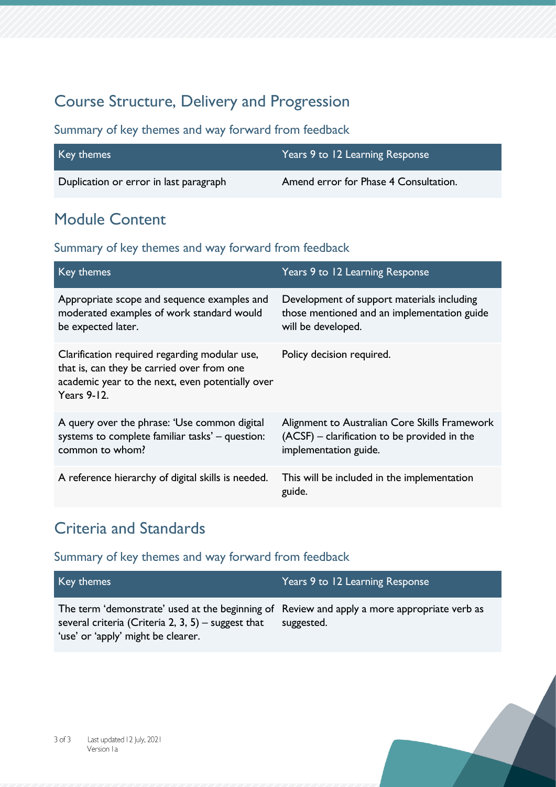## Course Structure, Delivery and Progression

#### Summary of key themes and way forward from feedback

| Key themes                             | Years 9 to 12 Learning Response       |
|----------------------------------------|---------------------------------------|
| Duplication or error in last paragraph | Amend error for Phase 4 Consultation. |

# Module Content

#### Summary of key themes and way forward from feedback

| Key themes                                                                                                                                                            | Years 9 to 12 Learning Response                                                                                        |
|-----------------------------------------------------------------------------------------------------------------------------------------------------------------------|------------------------------------------------------------------------------------------------------------------------|
| Appropriate scope and sequence examples and<br>moderated examples of work standard would<br>be expected later.                                                        | Development of support materials including<br>those mentioned and an implementation guide<br>will be developed.        |
| Clarification required regarding modular use,<br>that is, can they be carried over from one<br>academic year to the next, even potentially over<br><b>Years 9-12.</b> | Policy decision required.                                                                                              |
| A query over the phrase: 'Use common digital<br>systems to complete familiar tasks' - question:<br>common to whom?                                                    | Alignment to Australian Core Skills Framework<br>(ACSF) - clarification to be provided in the<br>implementation guide. |
| A reference hierarchy of digital skills is needed.                                                                                                                    | This will be included in the implementation<br>guide.                                                                  |

### Criteria and Standards

| Key themes                                                                                                                                                                              | Years 9 to 12 Learning Response |
|-----------------------------------------------------------------------------------------------------------------------------------------------------------------------------------------|---------------------------------|
| The term 'demonstrate' used at the beginning of Review and apply a more appropriate verb as<br>several criteria (Criteria 2, 3, 5) – suggest that<br>'use' or 'apply' might be clearer. | suggested.                      |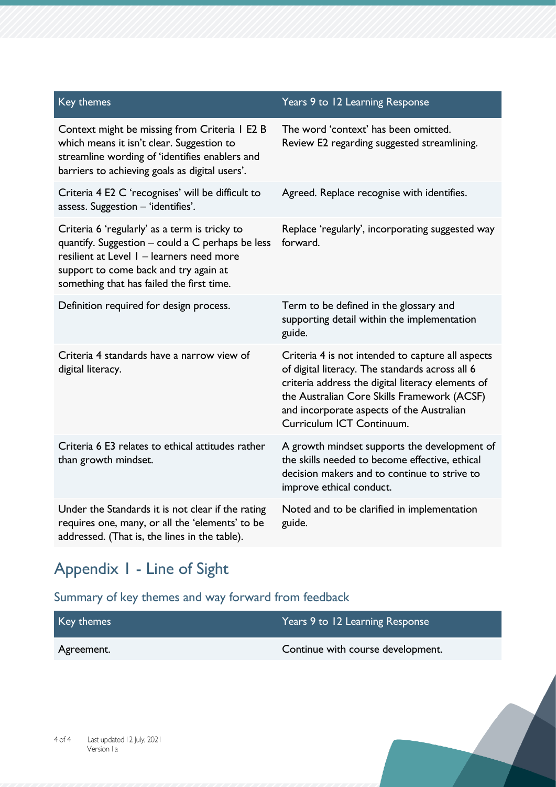| Key themes                                                                                                                                                                                                                           | Years 9 to 12 Learning Response                                                                                                                                                                                                                                                    |
|--------------------------------------------------------------------------------------------------------------------------------------------------------------------------------------------------------------------------------------|------------------------------------------------------------------------------------------------------------------------------------------------------------------------------------------------------------------------------------------------------------------------------------|
| Context might be missing from Criteria I E2 B<br>which means it isn't clear. Suggestion to<br>streamline wording of 'identifies enablers and<br>barriers to achieving goals as digital users'.                                       | The word 'context' has been omitted.<br>Review E2 regarding suggested streamlining.                                                                                                                                                                                                |
| Criteria 4 E2 C 'recognises' will be difficult to<br>assess. Suggestion - 'identifies'.                                                                                                                                              | Agreed. Replace recognise with identifies.                                                                                                                                                                                                                                         |
| Criteria 6 'regularly' as a term is tricky to<br>quantify. Suggestion - could a C perhaps be less<br>resilient at Level 1 - learners need more<br>support to come back and try again at<br>something that has failed the first time. | Replace 'regularly', incorporating suggested way<br>forward.                                                                                                                                                                                                                       |
| Definition required for design process.                                                                                                                                                                                              | Term to be defined in the glossary and<br>supporting detail within the implementation<br>guide.                                                                                                                                                                                    |
| Criteria 4 standards have a narrow view of<br>digital literacy.                                                                                                                                                                      | Criteria 4 is not intended to capture all aspects<br>of digital literacy. The standards across all 6<br>criteria address the digital literacy elements of<br>the Australian Core Skills Framework (ACSF)<br>and incorporate aspects of the Australian<br>Curriculum ICT Continuum. |
| Criteria 6 E3 relates to ethical attitudes rather<br>than growth mindset.                                                                                                                                                            | A growth mindset supports the development of<br>the skills needed to become effective, ethical<br>decision makers and to continue to strive to<br>improve ethical conduct.                                                                                                         |
| Under the Standards it is not clear if the rating<br>requires one, many, or all the 'elements' to be<br>addressed. (That is, the lines in the table).                                                                                | Noted and to be clarified in implementation<br>guide.                                                                                                                                                                                                                              |

# Appendix 1 - Line of Sight

| Key themes | Years 9 to 12 Learning Response   |
|------------|-----------------------------------|
| Agreement. | Continue with course development. |